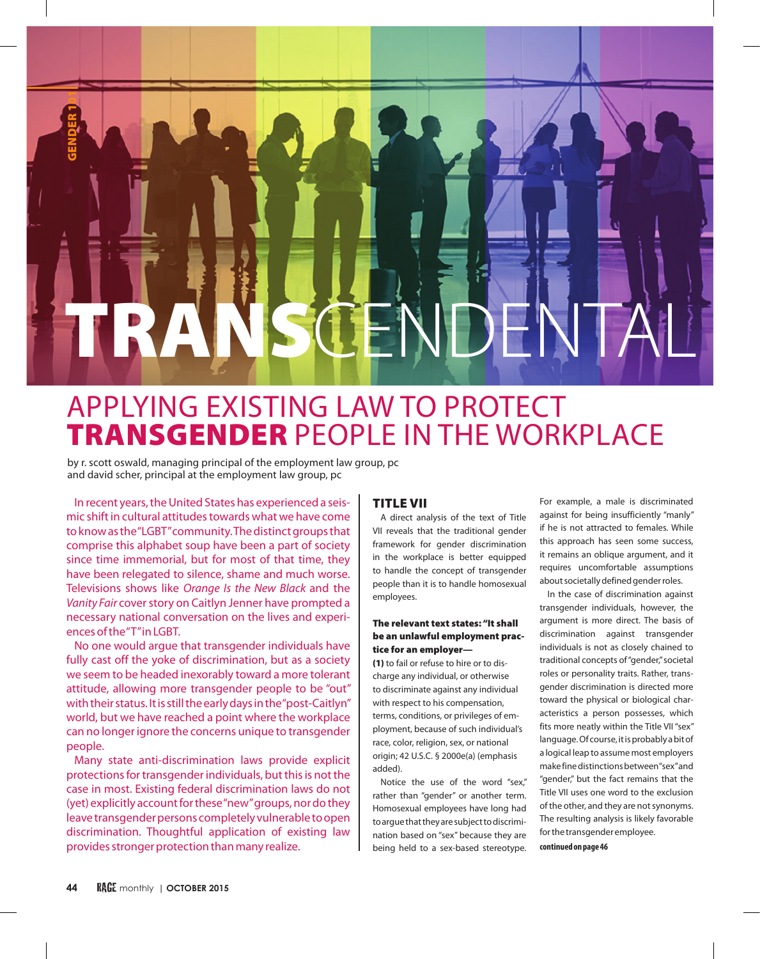

# APPLYING EXISTING LAW TO PROTECT TRANSGENDER PEOPLE IN THE WORKPLACE

by r. scott oswald, managing principal of the employment law group, pc and david scher, principal at the employment law group, pc

In recent years, the United States has experienced a seismic shift in cultural attitudes towards what we have come to know as the "LGBT" community. The distinct groups that comprise this alphabet soup have been a part of society since time immemorial, but for most of that time, they have been relegated to silence, shame and much worse. Televisions shows like *Orange Is the New Black* and the *Vanity Fair* cover story on Caitlyn Jenner have prompted a necessary national conversation on the lives and experiences of the "T" in LGBT.

No one would argue that transgender individuals have fully cast off the yoke of discrimination, but as a society we seem to be headed inexorably toward a more tolerant attitude, allowing more transgender people to be "out" with their status. It is still the early days in the "post-Caitlyn" world, but we have reached a point where the workplace can no longer ignore the concerns unique to transgender people.

Many state anti-discrimination laws provide explicit protections for transgender individuals, but this is not the case in most. Existing federal discrimination laws do not (yet) explicitly account for these "new" groups, nor do they leave transgender persons completely vulnerable to open discrimination. Thoughtful application of existing law provides stronger protection than many realize.

## TITLE VII

A direct analysis of the text of Title VII reveals that the traditional gender framework for gender discrimination in the workplace is better equipped to handle the concept of transgender people than it is to handle homosexual employees.

#### The relevant text states: "It shall be an unlawful employment practice for an employer—

(1) to fail or refuse to hire or to discharge any individual, or otherwise to discriminate against any individual with respect to his compensation, terms, conditions, or privileges of employment, because of such individual's race, color, religion, sex, or national origin; 42 U.S.C. § 2000e(a) (emphasis added).

Notice the use of the word "sex," rather than "gender" or another term. Homosexual employees have long had to argue that they are subject to discrimination based on "sex" because they are being held to a sex-based stereotype.

For example, a male is discriminated against for being insufficiently "manly" if he is not attracted to females. While this approach has seen some success, it remains an oblique argument, and it requires uncomfortable assumptions about societally defined gender roles.

In the case of discrimination against transgender individuals, however, the argument is more direct. The basis of discrimination against transgender individuals is not as closely chained to traditional concepts of "gender," societal roles or personality traits. Rather, transgender discrimination is directed more toward the physical or biological characteristics a person possesses, which fits more neatly within the Title VII "sex" language. Of course, it is probably a bit of a logical leap to assume most employers make fine distinctions between "sex" and "gender," but the fact remains that the Title VII uses one word to the exclusion of the other, and they are not synonyms. The resulting analysis is likely favorable for the transgender employee.

**continued on page 46**